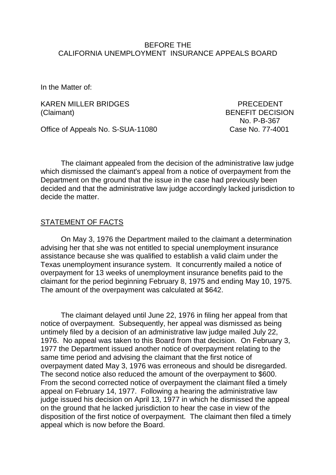## BEFORE THE CALIFORNIA UNEMPLOYMENT INSURANCE APPEALS BOARD

In the Matter of:

KAREN MILLER BRIDGES PRECEDENT (Claimant) BENEFIT DECISION

Office of Appeals No. S-SUA-11080 Case No. 77-4001

No. P-B-367

The claimant appealed from the decision of the administrative law judge which dismissed the claimant's appeal from a notice of overpayment from the Department on the ground that the issue in the case had previously been decided and that the administrative law judge accordingly lacked jurisdiction to decide the matter.

## STATEMENT OF FACTS

On May 3, 1976 the Department mailed to the claimant a determination advising her that she was not entitled to special unemployment insurance assistance because she was qualified to establish a valid claim under the Texas unemployment insurance system. It concurrently mailed a notice of overpayment for 13 weeks of unemployment insurance benefits paid to the claimant for the period beginning February 8, 1975 and ending May 10, 1975. The amount of the overpayment was calculated at \$642.

The claimant delayed until June 22, 1976 in filing her appeal from that notice of overpayment. Subsequently, her appeal was dismissed as being untimely filed by a decision of an administrative law judge mailed July 22, 1976. No appeal was taken to this Board from that decision. On February 3, 1977 the Department issued another notice of overpayment relating to the same time period and advising the claimant that the first notice of overpayment dated May 3, 1976 was erroneous and should be disregarded. The second notice also reduced the amount of the overpayment to \$600. From the second corrected notice of overpayment the claimant filed a timely appeal on February 14, 1977. Following a hearing the administrative law judge issued his decision on April 13, 1977 in which he dismissed the appeal on the ground that he lacked jurisdiction to hear the case in view of the disposition of the first notice of overpayment. The claimant then filed a timely appeal which is now before the Board.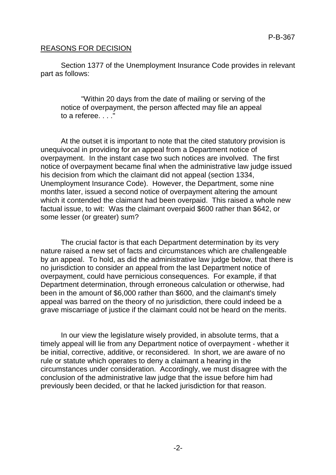## REASONS FOR DECISION

Section 1377 of the Unemployment Insurance Code provides in relevant part as follows:

"Within 20 days from the date of mailing or serving of the notice of overpayment, the person affected may file an appeal to a referee. . . ."

At the outset it is important to note that the cited statutory provision is unequivocal in providing for an appeal from a Department notice of overpayment. In the instant case two such notices are involved. The first notice of overpayment became final when the administrative law judge issued his decision from which the claimant did not appeal (section 1334, Unemployment Insurance Code). However, the Department, some nine months later, issued a second notice of overpayment altering the amount which it contended the claimant had been overpaid. This raised a whole new factual issue, to wit: Was the claimant overpaid \$600 rather than \$642, or some lesser (or greater) sum?

The crucial factor is that each Department determination by its very nature raised a new set of facts and circumstances which are challengeable by an appeal. To hold, as did the administrative law judge below, that there is no jurisdiction to consider an appeal from the last Department notice of overpayment, could have pernicious consequences. For example, if that Department determination, through erroneous calculation or otherwise, had been in the amount of \$6,000 rather than \$600, and the claimant's timely appeal was barred on the theory of no jurisdiction, there could indeed be a grave miscarriage of justice if the claimant could not be heard on the merits.

In our view the legislature wisely provided, in absolute terms, that a timely appeal will lie from any Department notice of overpayment - whether it be initial, corrective, additive, or reconsidered. In short, we are aware of no rule or statute which operates to deny a claimant a hearing in the circumstances under consideration. Accordingly, we must disagree with the conclusion of the administrative law judge that the issue before him had previously been decided, or that he lacked jurisdiction for that reason.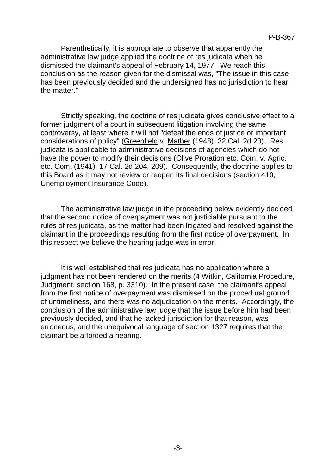Parenthetically, it is appropriate to observe that apparently the administrative law judge applied the doctrine of res judicata when he dismissed the claimant's appeal of February 14, 1977. We reach this conclusion as the reason given for the dismissal was, "The issue in this case has been previously decided and the undersigned has no jurisdiction to hear the matter."

Strictly speaking, the doctrine of res judicata gives conclusive effect to a former judgment of a court in subsequent litigation involving the same controversy, at least where it will not "defeat the ends of justice or important considerations of policy" (Greenfield v. Mather (1948), 32 Cal. 2d 23). Res judicata is applicable to administrative decisions of agencies which do not have the power to modify their decisions (Olive Proration etc. Com. v. Agric. etc. Com. (1941), 17 Cal. 2d 204, 209). Consequently, the doctrine applies to this Board as it may not review or reopen its final decisions (section 410, Unemployment Insurance Code).

The administrative law judge in the proceeding below evidently decided that the second notice of overpayment was not justiciable pursuant to the rules of res judicata, as the matter had been litigated and resolved against the claimant in the proceedings resulting from the first notice of overpayment. In this respect we believe the hearing judge was in error.

It is well established that res judicata has no application where a judgment has not been rendered on the merits (4 Witkin, California Procedure, Judgment, section 168, p. 3310). In the present case, the claimant's appeal from the first notice of overpayment was dismissed on the procedural ground of untimeliness, and there was no adjudication on the merits. Accordingly, the conclusion of the administrative law judge that the issue before him had been previously decided, and that he lacked jurisdiction for that reason, was erroneous, and the unequivocal language of section 1327 requires that the claimant be afforded a hearing.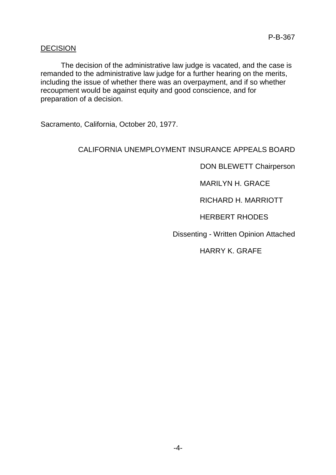## DECISION

The decision of the administrative law judge is vacated, and the case is remanded to the administrative law judge for a further hearing on the merits, including the issue of whether there was an overpayment, and if so whether recoupment would be against equity and good conscience, and for preparation of a decision.

Sacramento, California, October 20, 1977.

# CALIFORNIA UNEMPLOYMENT INSURANCE APPEALS BOARD

DON BLEWETT Chairperson

MARILYN H. GRACE

RICHARD H. MARRIOTT

HERBERT RHODES

Dissenting - Written Opinion Attached

HARRY K. GRAFE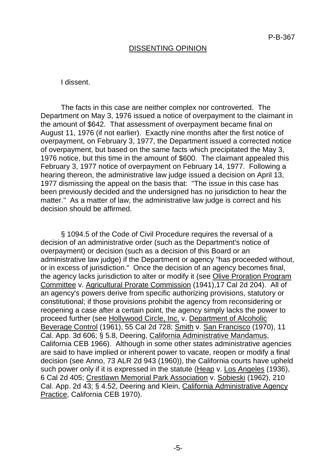## DISSENTING OPINION

#### I dissent.

The facts in this case are neither complex nor controverted. The Department on May 3, 1976 issued a notice of overpayment to the claimant in the amount of \$642. That assessment of overpayment became final on August 11, 1976 (if not earlier). Exactly nine months after the first notice of overpayment, on February 3, 1977, the Department issued a corrected notice of overpayment, but based on the same facts which precipitated the May 3, 1976 notice, but this time in the amount of \$600. The claimant appealed this February 3, 1977 notice of overpayment on February 14, 1977. Following a hearing thereon, the administrative law judge issued a decision on April 13, 1977 dismissing the appeal on the basis that: "The issue in this case has been previously decided and the undersigned has no jurisdiction to hear the matter." As a matter of law, the administrative law judge is correct and his decision should be affirmed.

§ 1094.5 of the Code of Civil Procedure requires the reversal of a decision of an administrative order (such as the Department's notice of overpayment) or decision (such as a decision of this Board or an administrative law judge) if the Department or agency "has proceeded without, or in excess of jurisdiction." Once the decision of an agency becomes final, the agency lacks jurisdiction to alter or modify it (see Olive Proration Program Committee v. Agricultural Prorate Commission (1941),17 Cal 2d 204). All of an agency's powers derive from specific authorizing provisions, statutory or constitutional; if those provisions prohibit the agency from reconsidering or reopening a case after a certain point, the agency simply lacks the power to proceed further (see Hollywood Circle, Inc. v. Department of Alcoholic Beverage Control (1961), 55 Cal 2d 728; Smith v. San Francisco (1970), 11 Cal. App. 3d 606; § 5.8, Deering, California Administrative Mandamus, California CEB 1966). Although in some other states administrative agencies are said to have implied or inherent power to vacate, reopen or modify a final decision (see Anno, 73 ALR 2d 943 (1960)), the California courts have upheld such power only if it is expressed in the statute (Heap v. Los Angeles (1936), 6 Cal 2d 405; Crestlawn Memorial Park Association v. Sobieski (1962), 210 Cal. App. 2d 43; § 4.52, Deering and Klein, California Administrative Agency Practice, California CEB 1970).